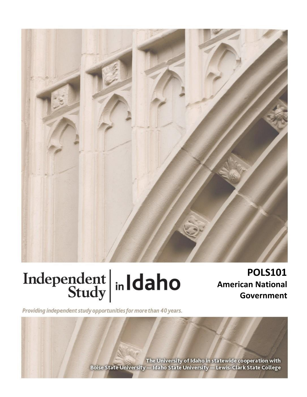

# Independent  $\left|\frac{\text{ind}}{\text{Study}}\right|$  in Idaho

**POLS101 American National Government**

Providing independent study opportunities for more than 40 years.

The University of Idaho in statewide cooperation with Boise State University - Idaho State University - Lewis-Clark State College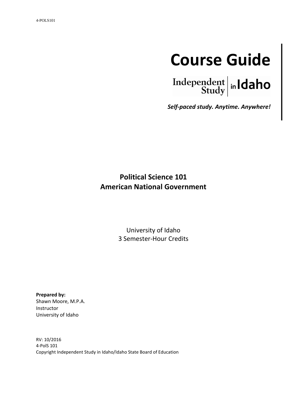

Independent  $\left|\right|$  in Idaho

*Self-paced study. Anytime. Anywhere!*

# **Political Science 101 American National Government**

University of Idaho 3 Semester-Hour Credits

**Prepared by:** Shawn Moore, M.P.A. Instructor University of Idaho

RV: 10/2016 4-PolS 101 Copyright Independent Study in Idaho/Idaho State Board of Education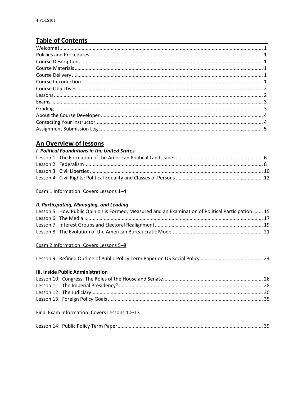# **Table of Contents**

## An Overview of lessons

#### I. Political Foundations in the United States

Exam 1 Information: Covers Lessons 1-4

#### II. Participating, Managing, and Leading

| Lesson 5: How Public Opinion is Formed, Measured and an Examination of Political Participation  15 |  |
|----------------------------------------------------------------------------------------------------|--|
|                                                                                                    |  |
|                                                                                                    |  |
|                                                                                                    |  |

#### Exam 2 Information: Covers Lessons 5-8

|--|--|--|

#### III. Inside Public Administration

#### Final Exam Information: Covers Lessons 10-13

|--|--|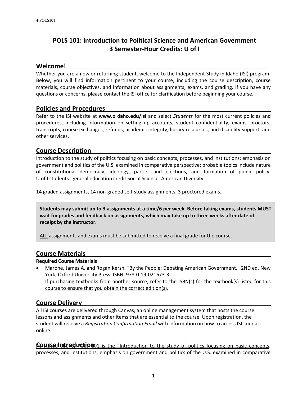# **POLS 101: Introduction to Political Science and American Government 3 Semester-Hour Credits: U of I**

#### $We$ come!

Whether you are a new or returning student, welcome to the Independent Study in Idaho (ISI) program. Below, you will find information pertinent to your course, including the course description, course materials, course objectives, and information about assignments, exams, and grading. If you have any questions or concerns, please contact the ISI office for clarification before beginning your course.

#### **Policies and Procedures \_\_\_\_\_\_\_\_\_\_\_\_\_\_\_\_\_\_\_\_\_\_\_\_\_\_\_\_\_\_\_\_\_\_\_\_\_\_\_\_\_\_\_\_\_\_**

Refer to the ISI website at **www.o daho.edu/isi** and select *Students* for the most current policies and procedures, including information on setting up accounts, student confidentiality, exams, proctors, transcripts, course exchanges, refunds, academic integrity, library resources, and disability support, and other services.

#### **Course Description \_\_\_\_\_\_\_\_\_\_\_\_\_\_\_\_\_\_\_\_\_\_\_\_\_\_\_\_\_\_\_\_\_\_\_\_\_\_\_\_\_\_\_\_\_\_\_\_\_\_**

Introduction to the study of politics focusing on basic concepts, processes, and institutions; emphasis on government and politics of the U.S. examined in comparative perspective; probable topics include nature of constitutional democracy, ideology, parties and elections, and formation of public policy. U of I students: general education credit Social Science, American Diversity.

14 graded assignments, 14 non-graded self-study assignments, 3 proctored exams.

**Students may submit up to 3 assignments at a time/6 per week. Before taking exams, students MUST wait for grades and feedback on assignments, which may take up to three weeks after date of receipt by the instructor.**

ALL assignments and exams must be submitted to receive a final grade for the course.

#### **Course Materials \_\_\_\_\_\_\_\_\_\_\_\_\_\_\_\_\_\_\_\_\_\_\_\_\_\_\_\_\_\_\_\_\_\_\_\_\_\_\_\_\_\_\_\_\_\_\_\_\_\_\_\_**

#### **Required Course Materials**

• Marone, James A. and Rogan Kersh. "By the People; Debating American Government." 2ND ed. New York; Oxford University Press. ISBN: 978-0-19-021673-3 If purchasing textbooks from another source, refer to the ISBN(s) for the textbook(s) listed for this course to ensure that you obtain the correct edition(s).

#### **Course Delivery \_\_\_\_\_\_\_\_\_\_\_\_\_\_\_\_\_\_\_\_\_\_\_\_\_\_\_\_\_\_\_\_\_\_\_\_\_\_\_\_\_\_\_\_\_\_\_\_\_\_\_\_\_**

All ISI courses are delivered through Canvas, an online management system that hosts the course lessons and assignments and other items that are essential to the course. Upon registration, the student will receive a *Registration Confirmation Email* with information on how to access ISI courses online.

Coutse lat to duction 01 is the "Introduction to the study of politics focusing on basic concepts, processes, and institutions; emphasis on government and politics of the U.S. examined in comparative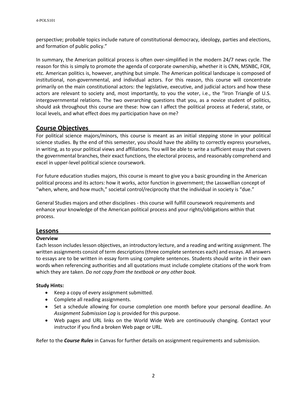perspective; probable topics include nature of constitutional democracy, ideology, parties and elections, and formation of public policy."

In summary, the American political process is often over-simplified in the modern 24/7 news cycle. The reason for this is simply to promote the agenda of corporate ownership, whether it is CNN, MSNBC, FOX, etc. American politics is, however, anything but simple. The American political landscape is composed of institutional, non-governmental, and individual actors. For this reason, this course will concentrate primarily on the main constitutional actors: the legislative, executive, and judicial actors and how these actors are relevant to society and, most importantly, to you the voter, i.e., the "Iron Triangle of U.S. intergovernmental relations. The two overarching questions that you, as a novice student of politics, should ask throughout this course are these: how can I affect the political process at Federal, state, or local levels, and what effect does my participation have on me?

#### **Course Objectives \_\_\_\_\_\_\_\_\_\_\_\_\_\_\_\_\_\_\_\_\_\_\_\_\_\_\_\_\_\_\_\_\_\_\_\_\_\_\_\_\_\_\_\_\_\_\_\_\_\_\_**

For political science majors/minors, this course is meant as an initial stepping stone in your political science studies. By the end of this semester, you should have the ability to correctly express yourselves, in writing, as to your political views and affiliations. You will be able to write a sufficient essay that covers the governmental branches, their exact functions, the electoral process, and reasonably comprehend and excel in upper-level political science coursework.

For future education studies majors, this course is meant to give you a basic grounding in the American political process and its actors: how it works, actor function in government; the Lasswellian concept of "when, where, and how much," societal control/reciprocity that the individual in society is "due."

General Studies majors and other disciplines - this course will fulfill coursework requirements and enhance your knowledge of the American political process and your rights/obligations within that process.

#### **Lessons**

#### **Overview**

Each lesson includes lesson objectives, an introductory lecture, and a reading and writing assignment. The written assignments consist of term descriptions (three complete sentences each) and essays. All answers to essays are to be written in essay form using complete sentences. Students should write in their own words when referencing authorities and all quotations must include complete citations of the work from which they are taken. *Do not copy from the textbook or any other book.*

#### **Study Hints:**

- Keep a copy of every assignment submitted.
- Complete all reading assignments.
- Set a schedule allowing for course completion one month before your personal deadline. An *Assignment Submission Log* is provided for this purpose.
- Web pages and URL links on the World Wide Web are continuously changing. Contact your instructor if you find a broken Web page or URL.

Refer to the *Course Rules* in Canvas for further details on assignment requirements and submission.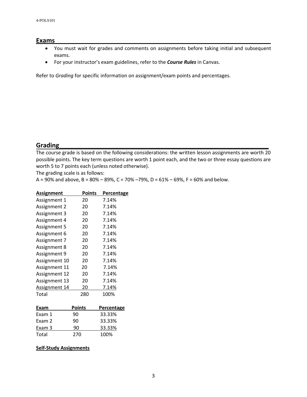#### **Exams \_\_\_\_\_\_\_\_\_\_\_\_\_\_\_\_\_\_\_\_\_\_\_\_\_\_\_\_\_\_\_\_\_\_\_\_\_\_\_\_\_\_\_\_\_\_\_\_\_\_\_\_\_\_\_\_\_\_\_\_\_**

- You must wait for grades and comments on assignments before taking initial and subsequent exams.
- For your instructor's exam guidelines, refer to the *Course Rules* in Canvas.

Refer to *Grading* for specific information on assignment/exam points and percentages.

### **Grading \_\_\_\_\_\_\_\_\_\_\_\_\_\_\_\_\_\_\_\_\_\_\_\_\_\_\_\_\_\_\_\_\_\_\_\_\_\_\_\_\_\_\_\_\_\_\_\_\_\_\_\_\_\_\_\_\_\_\_\_**

The course grade is based on the following considerations: the written lesson assignments are worth 20 possible points. The key term questions are worth 1 point each, and the two or three essay questions are worth 5 to 7 points each (unless noted otherwise).

The grading scale is as follows:

A = 90% and above, B = 80% – 89%, C = 70% –79%, D = 61% – 69%, F = 60% and below.

| Assignment    | Points | Percentage |
|---------------|--------|------------|
| Assignment 1  | 20     | 7.14%      |
| Assignment 2  | 20     | 7.14%      |
| Assignment 3  | 20     | 7.14%      |
| Assignment 4  | 20     | 7.14%      |
| Assignment 5  | 20     | 7.14%      |
| Assignment 6  | 20     | 7.14%      |
| Assignment 7  | 20     | 7.14%      |
| Assignment 8  | 20     | 7.14%      |
| Assignment 9  | 20     | 7.14%      |
| Assignment 10 | 20     | 7.14%      |
| Assignment 11 | 20     | 7.14%      |
| Assignment 12 | 20     | 7.14%      |
| Assignment 13 | 20     | 7.14%      |
| Assignment 14 | 20     | 7.14%      |
| Total         | 280    | 100%       |
|               |        |            |

| Exam   | <b>Points</b> | Percentage |
|--------|---------------|------------|
| Exam 1 | 90            | 33.33%     |
| Exam 2 | ۹0            | 33.33%     |
| Exam 3 | 90            | 33.33%     |
| Total  | 270           | 100%       |

#### **Self-Study Assignments**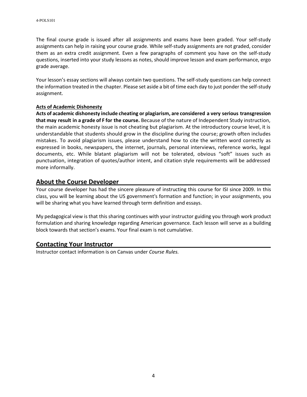The final course grade is issued after all assignments and exams have been graded. Your self-study assignments can help in raising your course grade. While self-study assignments are not graded, consider them as an extra credit assignment. Even a few paragraphs of comment you have on the self-study questions, inserted into your study lessons as notes, should improve lesson and exam performance, ergo grade average.

Your lesson's essay sections will always contain two questions. The self-study questions can help connect the information treated in the chapter. Please set aside a bit of time each day to just ponder the self-study assignment.

#### **Acts of Academic Dishonesty**

**Acts of academic dishonesty include cheating or plagiarism, are considered a very serious transgression that may result in a grade of F for the course.** Because of the nature of Independent Study instruction, the main academic honesty issue is not cheating but plagiarism. At the introductory course level, it is understandable that students should grow in the discipline during the course; growth often includes mistakes. To avoid plagiarism issues, please understand how to cite the written word correctly as expressed in books, newspapers, the internet, journals, personal interviews, reference works, legal documents, etc. While blatant plagiarism will not be tolerated, obvious "soft" issues such as punctuation, integration of quotes/author intent, and citation style requirements will be addressed more informally.

#### **About the Course Developer \_\_\_\_\_\_\_\_\_\_\_\_\_\_\_\_\_\_\_\_\_\_\_\_\_\_\_\_\_\_\_\_\_\_\_\_\_\_\_\_\_\_**

Your course developer has had the sincere pleasure of instructing this course for ISI since 2009. In this class, you will be learning about the US government's formation and function; in your assignments, you will be sharing what you have learned through term definition and essays.

My pedagogical view is that this sharing continues with your instructor guiding you through work product formulation and sharing knowledge regarding American governance. Each lesson will serve as a building block towards that section's exams. Your final exam is not cumulative.

#### **Contacting Your Instructor \_\_\_\_\_\_\_\_\_\_\_\_\_\_\_\_\_\_\_\_\_\_\_\_\_\_\_\_\_\_\_\_\_\_\_\_\_\_\_\_\_\_\_\_**

Instructor contact information is on Canvas under *Course Rules.*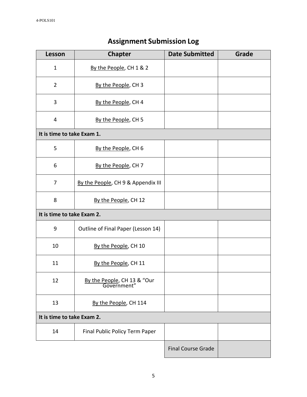| Lesson                     | <b>Chapter</b>                             | <b>Date Submitted</b>     | Grade |
|----------------------------|--------------------------------------------|---------------------------|-------|
| $\mathbf{1}$               | By the People, CH 1 & 2                    |                           |       |
| $\overline{2}$             | By the People, CH 3                        |                           |       |
| 3                          | By the People, CH 4                        |                           |       |
| 4                          | By the People, CH 5                        |                           |       |
| It is time to take Exam 1. |                                            |                           |       |
| 5                          | By the People, CH 6                        |                           |       |
| 6                          | By the People, CH 7                        |                           |       |
| 7                          | By the People, CH 9 & Appendix III         |                           |       |
| 8                          | By the People, CH 12                       |                           |       |
| It is time to take Exam 2. |                                            |                           |       |
| 9                          | Outline of Final Paper (Lesson 14)         |                           |       |
| 10                         | By the People, CH 10                       |                           |       |
| 11                         | By the People, CH 11                       |                           |       |
| 12                         | By the People, CH 13 & "Our<br>Government" |                           |       |
| 13                         | By the People, CH 114                      |                           |       |
| It is time to take Exam 2. |                                            |                           |       |
| 14                         | Final Public Policy Term Paper             |                           |       |
|                            |                                            | <b>Final Course Grade</b> |       |

# **Assignment Submission Log**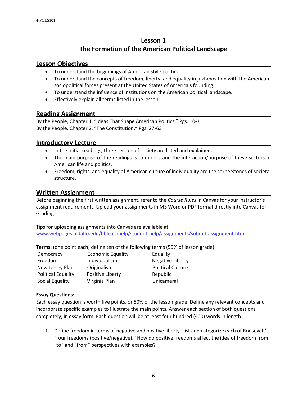# **Lesson 1 The Formation of the American Political Landscape**

#### **Lesson Objectives \_\_\_\_\_\_\_\_\_\_\_\_\_\_\_\_\_\_\_\_\_\_\_\_\_\_\_\_\_\_\_\_\_\_\_\_\_\_\_\_\_\_\_\_\_\_\_\_\_\_\_**

- To understand the beginnings of American style politics.
- To understand the concepts of freedom, liberty, and equality in juxtaposition with the American sociopolitical forces present at the United States of America's founding.
- To understand the influence of institutions on the American political landscape.
- Effectively explain all terms listed in the lesson.

#### **Reading Assignment \_\_\_\_\_\_\_\_\_\_\_\_\_\_\_\_\_\_\_\_\_\_\_\_\_\_\_\_\_\_\_\_\_\_\_\_\_\_\_\_\_\_\_\_\_\_\_\_\_**

By the People, Chapter 1, "Ideas That Shape American Politics," Pgs. 10-31 By the People, Chapter 2, "The Constitution," Pgs. 27-63

#### **Introductory Lecture \_\_\_\_\_\_\_\_\_\_\_\_\_\_\_\_\_\_\_\_\_\_\_\_\_\_\_\_\_\_\_\_\_\_\_\_\_\_\_\_\_\_\_\_\_\_\_\_\_**

- In the initial readings, three sectors of society are listed and explained.
- The main purpose of the readings is to understand the interaction/purpose of these sectors in American life and politics.
- Freedom, rights, and equality of American culture of individuality are the cornerstones of societal structure.

#### **Written Assignment \_\_\_\_\_\_\_\_\_\_\_\_\_\_\_\_\_\_\_\_\_\_\_\_\_\_\_\_\_\_\_\_\_\_\_\_\_\_\_\_\_\_\_\_\_\_\_\_\_**

Before beginning the first written assignment, refer to the *Course Rules* in Canvas for your instructor's assignment requirements. Upload your assignments in MS Word or PDF format directly into Canvas for Grading.

Tips for uploading assignments into Canvas are available at [www.webpages.uidaho.edu/bblearnhelp/student-help/assignments/submit-assignment.html.](http://www.webpages.uidaho.edu/bblearnhelp/student-help/assignments/submit-assignment.html)

**Terms:** (one point each) define ten of the following terms (50% of lesson grade).

| Democracy                 | Economic     |
|---------------------------|--------------|
| Freedom                   | Individuali  |
| New Jersey Plan           | Originalisn  |
| <b>Political Equality</b> | Positive Lik |
| Social Equality           | Virginia Pla |

Equality **Equality Freedom India**<br>**Freedom** Indian Negative Liberty new Jersey Political Culture Political Equality Points an **Equality Virginia Plan Library** 

#### **Essay Questions:**

Each essay question is worth five points, or 50% of the lesson grade. Define any relevant concepts and incorporate specific examples to illustrate the main points. Answer each section of both questions completely, in essay form. Each question will be at least four hundred (400) words in length.

1. Define freedom in terms of negative and positive liberty. List and categorize each of Roosevelt's "four freedoms (positive/negative)." How do positive freedoms affect the idea of freedom from "to" and "from" perspectives with examples?